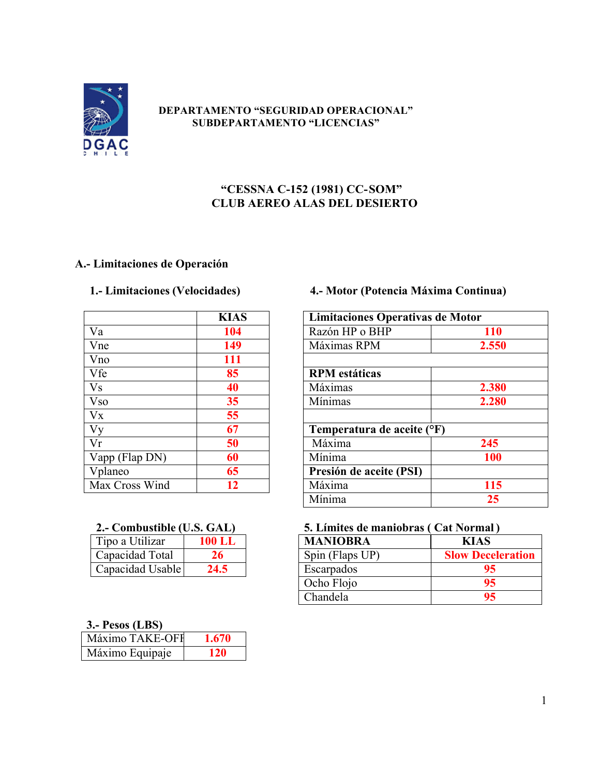

### **DEPARTAMENTO "SEGURIDAD OPERACIONAL" SUBDEPARTAMENTO "LICENCIAS"**

## **"CESSNA C-152 (1981) CC-SOM" CLUB AEREO ALAS DEL DESIERTO**

## **A.- Limitaciones de Operación**

|                | <b>KIAS</b> | Limitaciones Operativas de |
|----------------|-------------|----------------------------|
| Va             | 104         | Razón HP o BHP             |
| Vne            | 149         | Máximas RPM                |
| Vno            | 111         |                            |
| Vfe            | 85          | <b>RPM</b> estáticas       |
| <b>Vs</b>      | 40          | Máximas                    |
| <b>Vso</b>     | 35          | Mínimas                    |
| $V_{X}$        | 55          |                            |
| Vy             | 67          | Temperatura de aceite (°F) |
| Vr             | 50          | Máxima                     |
| Vapp (Flap DN) | 60          | Mínima                     |
| Vplaneo        | 65          | Presión de aceite (PSI)    |
| Max Cross Wind | 12          | Máxima                     |

| Tipo a Utilizar  | 100 L.L |
|------------------|---------|
| Capacidad Total  | 26      |
| Capacidad Usable | 24.5    |

## **1.- Limitaciones (Velocidades) 4.- Motor (Potencia Máxima Continua)**

|                            | <b>KIAS</b> | Limitaciones Operativas de Motor |            |
|----------------------------|-------------|----------------------------------|------------|
| $\overline{\mathrm{Va}}$   | 104         | Razón HP o BHP                   | <b>110</b> |
| $\overline{V}$ ne          | 149         | Máximas RPM                      | 2.550      |
| Vno                        | 111         |                                  |            |
| Vfe                        | 85          | <b>RPM</b> estáticas             |            |
| $\overline{V_S}$           | 40          | Máximas                          | 2.380      |
| $\overline{\mathrm{V}}$ so | 35          | Mínimas                          | 2.280      |
| $\overline{V}X$            | 55          |                                  |            |
| $\overline{Vy}$            | 67          | Temperatura de aceite (°F)       |            |
| $\overline{\text{Vr}}$     | 50          | Máxima                           | 245        |
| Vapp (Flap DN)             | 60          | Mínima                           | <b>100</b> |
| Vplaneo                    | 65          | Presión de aceite (PSI)          |            |
| Max Cross Wind             | 12          | Máxima                           | 115        |
|                            |             | Mínima                           | 25         |

## **2.- Combustible (U.S. GAL) 5. Límites de maniobras ( Cat Normal )**

| <b>MANIOBRA</b> | <b>KIAS</b>              |
|-----------------|--------------------------|
| Spin (Flaps UP) | <b>Slow Deceleration</b> |
| Escarpados      | 95                       |
| Ocho Flojo      | 95                       |
| Chandela        | 95                       |

### **3.- Pesos (LBS)**

| Máximo TAKE-OFF | 1.670      |
|-----------------|------------|
| Máximo Equipaje | <b>120</b> |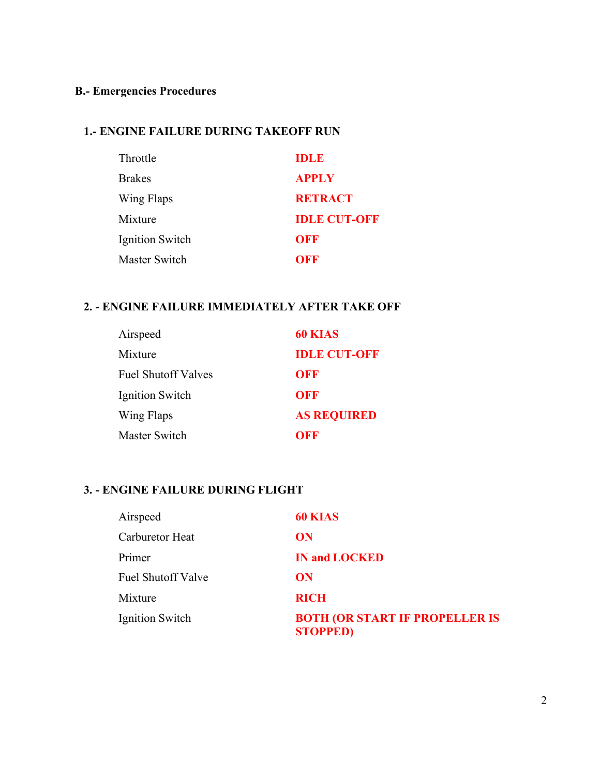## **B.- Emergencies Procedures**

## **1.- ENGINE FAILURE DURING TAKEOFF RUN**

| Throttle             | <b>IDLE</b>         |
|----------------------|---------------------|
| <b>Brakes</b>        | <b>APPLY</b>        |
| Wing Flaps           | <b>RETRACT</b>      |
| Mixture              | <b>IDLE CUT-ONE</b> |
| Ignition Switch      | OFF                 |
| <b>Master Switch</b> | OFF                 |

## **2. - ENGINE FAILURE IMMEDIATELY AFTER TAKE OFF**

| Airspeed                   | 60 KIAS             |
|----------------------------|---------------------|
| Mixture                    | <b>IDLE CUT-OFF</b> |
| <b>Fuel Shutoff Valves</b> | OFF                 |
| Ignition Switch            | OFF                 |
| Wing Flaps                 | <b>AS REQUIRED</b>  |
| <b>Master Switch</b>       | OFF                 |

## **3. - ENGINE FAILURE DURING FLIGHT**

| Airspeed                  | <b>60 KIAS</b>                                            |
|---------------------------|-----------------------------------------------------------|
| Carburetor Heat           | ON                                                        |
| Primer                    | <b>IN and LOCKED</b>                                      |
| <b>Fuel Shutoff Valve</b> | ON                                                        |
| Mixture                   | <b>RICH</b>                                               |
| Ignition Switch           | <b>BOTH (OR START IF PROPELLER IS)</b><br><b>STOPPED)</b> |